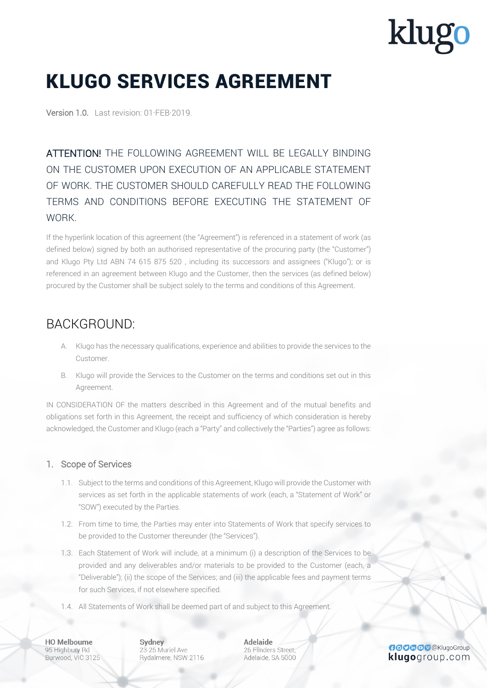### KLUGO SERVICES AGREEMENT

Version 1.0. Last revision: 01·FEB·2019.

ATTENTION! THE FOLLOWING AGREEMENT WILL BE LEGALLY BINDING ON THE CUSTOMER UPON EXECUTION OF AN APPLICABLE STATEMENT OF WORK. THE CUSTOMER SHOULD CAREFULLY READ THE FOLLOWING TERMS AND CONDITIONS BEFORE EXECUTING THE STATEMENT OF WORK.

If the hyperlink location of this agreement (the "Agreement") is referenced in a statement of work (as defined below) signed by both an authorised representative of the procuring party (the "Customer") and Klugo Pty Ltd ABN 74 615 875 520 , including its successors and assignees ("Klugo"); or is referenced in an agreement between Klugo and the Customer, then the services (as defined below) procured by the Customer shall be subject solely to the terms and conditions of this Agreement.

### BACKGROUND:

- A. Klugo has the necessary qualifications, experience and abilities to provide the services to the Customer.
- B. Klugo will provide the Services to the Customer on the terms and conditions set out in this Agreement.

IN CONSIDERATION OF the matters described in this Agreement and of the mutual benefits and obligations set forth in this Agreement, the receipt and sufficiency of which consideration is hereby acknowledged, the Customer and Klugo (each a "Party" and collectively the "Parties") agree as follows:

#### 1. Scope of Services

- 1.1. Subject to the terms and conditions of this Agreement, Klugo will provide the Customer with services as set forth in the applicable statements of work (each, a "Statement of Work" or "SOW") executed by the Parties.
- 1.2. From time to time, the Parties may enter into Statements of Work that specify services to be provided to the Customer thereunder (the "Services").
- 1.3. Each Statement of Work will include, at a minimum (i) a description of the Services to be provided and any deliverables and/or materials to be provided to the Customer (each, a "Deliverable"); (ii) the scope of the Services; and (iii) the applicable fees and payment terms for such Services, if not elsewhere specified.
- 1.4. All Statements of Work shall be deemed part of and subject to this Agreement.

**HO Melbourne** 95 Highbury Rd Burwood, VIC 3125 Sydney 23-25 Muriel Ave Rydalmere, NSW 2116 **Adelaide** 26 Flinders Street. Adelaide, SA 5000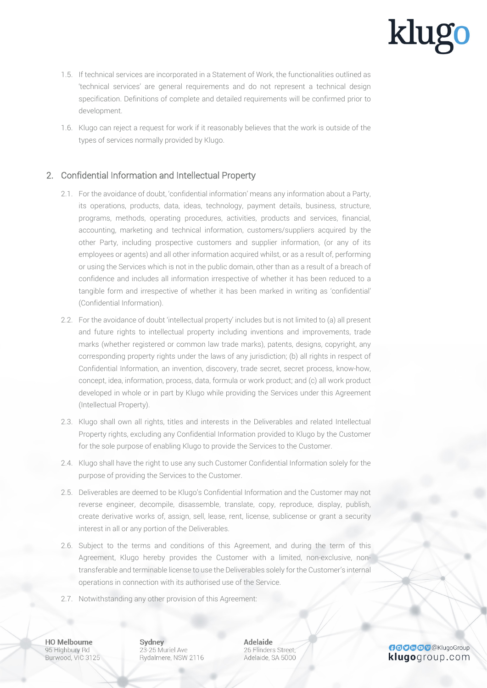- 1.5. If technical services are incorporated in a Statement of Work, the functionalities outlined as 'technical services' are general requirements and do not represent a technical design specification. Definitions of complete and detailed requirements will be confirmed prior to development.
- 1.6. Klugo can reject a request for work if it reasonably believes that the work is outside of the types of services normally provided by Klugo.

#### 2. Confidential Information and Intellectual Property

- 2.1. For the avoidance of doubt, 'confidential information' means any information about a Party, its operations, products, data, ideas, technology, payment details, business, structure, programs, methods, operating procedures, activities, products and services, financial, accounting, marketing and technical information, customers/suppliers acquired by the other Party, including prospective customers and supplier information, (or any of its employees or agents) and all other information acquired whilst, or as a result of, performing or using the Services which is not in the public domain, other than as a result of a breach of confidence and includes all information irrespective of whether it has been reduced to a tangible form and irrespective of whether it has been marked in writing as 'confidential' (Confidential Information).
- 2.2. For the avoidance of doubt 'intellectual property' includes but is not limited to (a) all present and future rights to intellectual property including inventions and improvements, trade marks (whether registered or common law trade marks), patents, designs, copyright, any corresponding property rights under the laws of any jurisdiction; (b) all rights in respect of Confidential Information, an invention, discovery, trade secret, secret process, know-how, concept, idea, information, process, data, formula or work product; and (c) all work product developed in whole or in part by Klugo while providing the Services under this Agreement (Intellectual Property).
- 2.3. Klugo shall own all rights, titles and interests in the Deliverables and related Intellectual Property rights, excluding any Confidential Information provided to Klugo by the Customer for the sole purpose of enabling Klugo to provide the Services to the Customer.
- 2.4. Klugo shall have the right to use any such Customer Confidential Information solely for the purpose of providing the Services to the Customer.
- 2.5. Deliverables are deemed to be Klugo's Confidential Information and the Customer may not reverse engineer, decompile, disassemble, translate, copy, reproduce, display, publish, create derivative works of, assign, sell, lease, rent, license, sublicense or grant a security interest in all or any portion of the Deliverables.
- 2.6. Subject to the terms and conditions of this Agreement, and during the term of this Agreement, Klugo hereby provides the Customer with a limited, non-exclusive, nontransferable and terminable license to use the Deliverables solely for the Customer's internal operations in connection with its authorised use of the Service.
- 2.7. Notwithstanding any other provision of this Agreement:

**HO Melbourne** 95 Highbury Rd Burwood, VIC 3125 Sydney 23-25 Muriel Ave Rydalmere, NSW 2116 **Adelaide** 26 Flinders Street: Adelaide, SA 5000

**GOOGOO** @KlugoGroup klugogroup.com

klug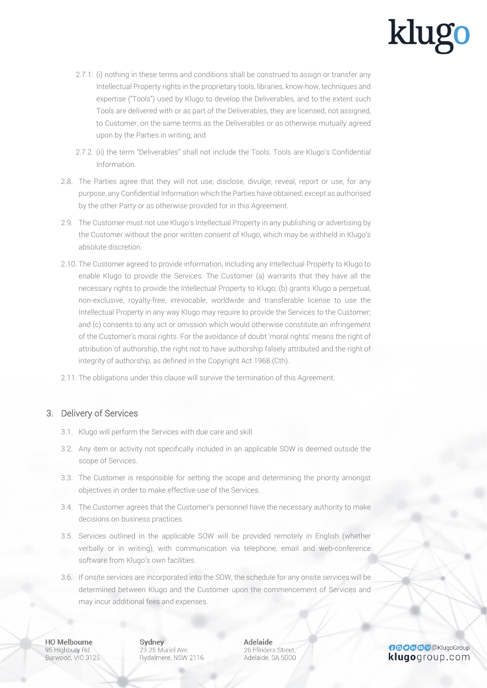- 2.7.1. (i) nothing in these terms and conditions shall be construed to assign or transfer any Intellectual Property rights in the proprietary tools, libraries, know-how, techniques and expertise ("Tools") used by Klugo to develop the Deliverables, and to the extent such Tools are delivered with or as part of the Deliverables, they are licensed, not assigned, to Customer, on the same terms as the Deliverables or as otherwise mutually agreed upon by the Parties in writing; and
- 2.7.2. (ii) the term "Deliverables" shall not include the Tools. Tools are Klugo's Confidential Information.
- 2.8. The Parties agree that they will not use, disclose, divulge, reveal, report or use, for any purpose, any Confidential Information which the Parties have obtained, except as authorised by the other Party or as otherwise provided for in this Agreement.
- 2.9. The Customer must not use Klugo's Intellectual Property in any publishing or advertising by the Customer without the prior written consent of Klugo, which may be withheld in Klugo's absolute discretion.
- 2.10. The Customer agreed to provide information, including any Intellectual Property to Klugo to enable Klugo to provide the Services. The Customer (a) warrants that they have all the necessary rights to provide the Intellectual Property to Klugo; (b) grants Klugo a perpetual, non-exclusive, royalty-free, irrevocable, worldwide and transferable license to use the Intellectual Property in any way Klugo may require to provide the Services to the Customer; and (c) consents to any act or omission which would otherwise constitute an infringement of the Customer's moral rights. For the avoidance of doubt 'moral rights' means the right of attribution of authorship, the right not to have authorship falsely attributed and the right of integrity of authorship, as defined in the Copyright Act 1968 (Cth).
- 2.11. The obligations under this clause will survive the termination of this Agreement.

#### 3. Delivery of Services

- 3.1. Klugo will perform the Services with due care and skill.
- 3.2. Any item or activity not specifically included in an applicable SOW is deemed outside the scope of Services.
- 3.3. The Customer is responsible for setting the scope and determining the priority amongst objectives in order to make effective use of the Services.
- 3.4. The Customer agrees that the Customer's personnel have the necessary authority to make decisions on business practices.
- 3.5. Services outlined in the applicable SOW will be provided remotely in English (whether verbally or in writing), with communication via telephone, email and web-conference software from Klugo's own facilities.
- 3.6. If onsite services are incorporated into the SOW, the schedule for any onsite services will be determined between Klugo and the Customer upon the commencement of Services and may incur additional fees and expenses.

**HO Melbourne** 95 Highbury Rd Burwood, VIC 3125 Sydney 23-25 Muriel Ave Rydalmere, NSW 2116 **Adelaide** 26 Flinders Street: Adelaide, SA 5000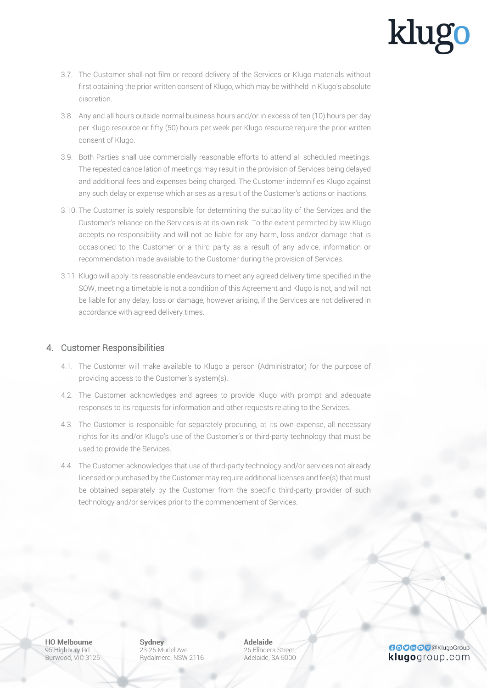- 3.7. The Customer shall not film or record delivery of the Services or Klugo materials without first obtaining the prior written consent of Klugo, which may be withheld in Klugo's absolute discretion.
- 3.8. Any and all hours outside normal business hours and/or in excess of ten (10) hours per day per Klugo resource or fifty (50) hours per week per Klugo resource require the prior written consent of Klugo.
- 3.9. Both Parties shall use commercially reasonable efforts to attend all scheduled meetings. The repeated cancellation of meetings may result in the provision of Services being delayed and additional fees and expenses being charged. The Customer indemnifies Klugo against any such delay or expense which arises as a result of the Customer's actions or inactions.
- 3.10. The Customer is solely responsible for determining the suitability of the Services and the Customer's reliance on the Services is at its own risk. To the extent permitted by law Klugo accepts no responsibility and will not be liable for any harm, loss and/or damage that is occasioned to the Customer or a third party as a result of any advice, information or recommendation made available to the Customer during the provision of Services.
- 3.11. Klugo will apply its reasonable endeavours to meet any agreed delivery time specified in the SOW, meeting a timetable is not a condition of this Agreement and Klugo is not, and will not be liable for any delay, loss or damage, however arising, if the Services are not delivered in accordance with agreed delivery times.

#### 4. Customer Responsibilities

- 4.1. The Customer will make available to Klugo a person (Administrator) for the purpose of providing access to the Customer's system(s).
- 4.2. The Customer acknowledges and agrees to provide Klugo with prompt and adequate responses to its requests for information and other requests relating to the Services.
- 4.3. The Customer is responsible for separately procuring, at its own expense, all necessary rights for its and/or Klugo's use of the Customer's or third-party technology that must be used to provide the Services.
- 4.4. The Customer acknowledges that use of third-party technology and/or services not already licensed or purchased by the Customer may require additional licenses and fee(s) that must be obtained separately by the Customer from the specific third-party provider of such technology and/or services prior to the commencement of Services.

**HO Melbourne** 95 Highbury Rd Burwood, VIC 3125 Sydney 23-25 Muriel Ave Rydalmere, NSW 2116 **Adelaide** 26 Flinders Street. Adelaide, SA 5000

**GOOGOO** @KlugoGroup klugogroup.com

# klug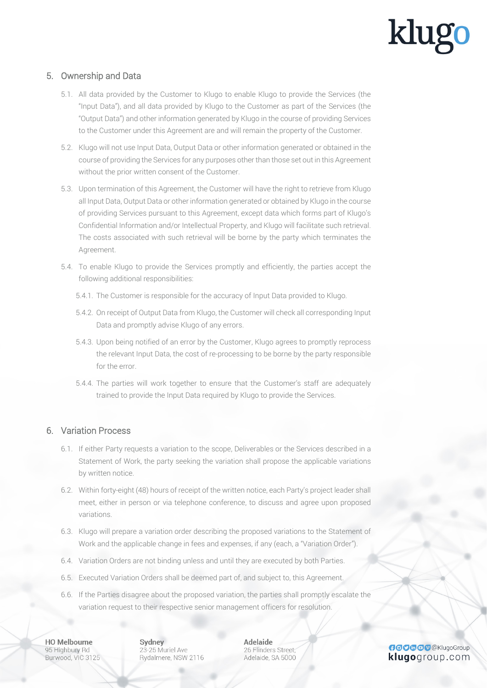#### 5. Ownership and Data

- 5.1. All data provided by the Customer to Klugo to enable Klugo to provide the Services (the "Input Data"), and all data provided by Klugo to the Customer as part of the Services (the "Output Data") and other information generated by Klugo in the course of providing Services to the Customer under this Agreement are and will remain the property of the Customer.
- 5.2. Klugo will not use Input Data, Output Data or other information generated or obtained in the course of providing the Services for any purposes other than those set out in this Agreement without the prior written consent of the Customer.
- 5.3. Upon termination of this Agreement, the Customer will have the right to retrieve from Klugo all Input Data, Output Data or other information generated or obtained by Klugo in the course of providing Services pursuant to this Agreement, except data which forms part of Klugo's Confidential Information and/or Intellectual Property, and Klugo will facilitate such retrieval. The costs associated with such retrieval will be borne by the party which terminates the Agreement.
- 5.4. To enable Klugo to provide the Services promptly and efficiently, the parties accept the following additional responsibilities:
	- 5.4.1. The Customer is responsible for the accuracy of Input Data provided to Klugo.
	- 5.4.2. On receipt of Output Data from Klugo, the Customer will check all corresponding Input Data and promptly advise Klugo of any errors.
	- 5.4.3. Upon being notified of an error by the Customer, Klugo agrees to promptly reprocess the relevant Input Data, the cost of re-processing to be borne by the party responsible for the error.
	- 5.4.4. The parties will work together to ensure that the Customer's staff are adequately trained to provide the Input Data required by Klugo to provide the Services.

#### 6. Variation Process

- 6.1. If either Party requests a variation to the scope, Deliverables or the Services described in a Statement of Work, the party seeking the variation shall propose the applicable variations by written notice.
- 6.2. Within forty-eight (48) hours of receipt of the written notice, each Party's project leader shall meet, either in person or via telephone conference, to discuss and agree upon proposed variations.
- 6.3. Klugo will prepare a variation order describing the proposed variations to the Statement of Work and the applicable change in fees and expenses, if any (each, a "Variation Order").
- 6.4. Variation Orders are not binding unless and until they are executed by both Parties.
- 6.5. Executed Variation Orders shall be deemed part of, and subject to, this Agreement.
- 6.6. If the Parties disagree about the proposed variation, the parties shall promptly escalate the variation request to their respective senior management officers for resolution.

**HO Melbourne** 95 Highbury Rd Burwood, VIC 3125 Sydney 23-25 Muriel Ave Rydalmere, NSW 2116 **Adelaide** 26 Flinders Street: Adelaide, SA 5000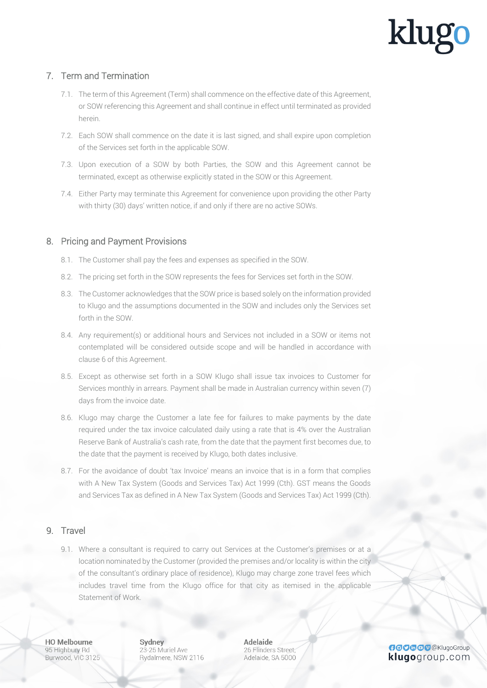#### 7. Term and Termination

- 7.1. The term of this Agreement (Term) shall commence on the effective date of this Agreement, or SOW referencing this Agreement and shall continue in effect until terminated as provided herein.
- 7.2. Each SOW shall commence on the date it is last signed, and shall expire upon completion of the Services set forth in the applicable SOW.
- 7.3. Upon execution of a SOW by both Parties, the SOW and this Agreement cannot be terminated, except as otherwise explicitly stated in the SOW or this Agreement.
- 7.4. Either Party may terminate this Agreement for convenience upon providing the other Party with thirty (30) days' written notice, if and only if there are no active SOWs.

#### 8. Pricing and Payment Provisions

- 8.1. The Customer shall pay the fees and expenses as specified in the SOW.
- 8.2. The pricing set forth in the SOW represents the fees for Services set forth in the SOW.
- 8.3. The Customer acknowledges that the SOW price is based solely on the information provided to Klugo and the assumptions documented in the SOW and includes only the Services set forth in the SOW.
- 8.4. Any requirement(s) or additional hours and Services not included in a SOW or items not contemplated will be considered outside scope and will be handled in accordance with clause 6 of this Agreement.
- 8.5. Except as otherwise set forth in a SOW Klugo shall issue tax invoices to Customer for Services monthly in arrears. Payment shall be made in Australian currency within seven (7) days from the invoice date.
- 8.6. Klugo may charge the Customer a late fee for failures to make payments by the date required under the tax invoice calculated daily using a rate that is 4% over the Australian Reserve Bank of Australia's cash rate, from the date that the payment first becomes due, to the date that the payment is received by Klugo, both dates inclusive.
- 8.7. For the avoidance of doubt 'tax Invoice' means an invoice that is in a form that complies with A New Tax System (Goods and Services Tax) Act 1999 (Cth). GST means the Goods and Services Tax as defined in A New Tax System (Goods and Services Tax) Act 1999 (Cth).

#### 9. Travel

9.1. Where a consultant is required to carry out Services at the Customer's premises or at a location nominated by the Customer (provided the premises and/or locality is within the city of the consultant's ordinary place of residence), Klugo may charge zone travel fees which includes travel time from the Klugo office for that city as itemised in the applicable Statement of Work.

**HO Melbourne** 95 Highbury Rd Burwood, VIC 3125 Sydney 23-25 Muriel Ave Rydalmere, NSW 2116 **Adelaide** 26 Flinders Street. Adelaide, SA 5000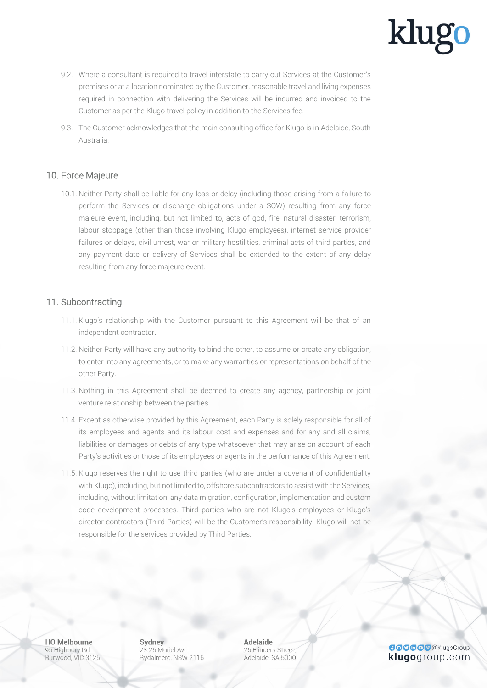- 9.2. Where a consultant is required to travel interstate to carry out Services at the Customer's premises or at a location nominated by the Customer, reasonable travel and living expenses required in connection with delivering the Services will be incurred and invoiced to the Customer as per the Klugo travel policy in addition to the Services fee.
- 9.3. The Customer acknowledges that the main consulting office for Klugo is in Adelaide, South Australia.

#### 10. Force Majeure

10.1. Neither Party shall be liable for any loss or delay (including those arising from a failure to perform the Services or discharge obligations under a SOW) resulting from any force majeure event, including, but not limited to, acts of god, fire, natural disaster, terrorism, labour stoppage (other than those involving Klugo employees), internet service provider failures or delays, civil unrest, war or military hostilities, criminal acts of third parties, and any payment date or delivery of Services shall be extended to the extent of any delay resulting from any force majeure event.

#### 11. Subcontracting

- 11.1. Klugo's relationship with the Customer pursuant to this Agreement will be that of an independent contractor.
- 11.2. Neither Party will have any authority to bind the other, to assume or create any obligation, to enter into any agreements, or to make any warranties or representations on behalf of the other Party.
- 11.3. Nothing in this Agreement shall be deemed to create any agency, partnership or joint venture relationship between the parties.
- 11.4. Except as otherwise provided by this Agreement, each Party is solely responsible for all of its employees and agents and its labour cost and expenses and for any and all claims, liabilities or damages or debts of any type whatsoever that may arise on account of each Party's activities or those of its employees or agents in the performance of this Agreement.
- 11.5. Klugo reserves the right to use third parties (who are under a covenant of confidentiality with Klugo), including, but not limited to, offshore subcontractors to assist with the Services, including, without limitation, any data migration, configuration, implementation and custom code development processes. Third parties who are not Klugo's employees or Klugo's director contractors (Third Parties) will be the Customer's responsibility. Klugo will not be responsible for the services provided by Third Parties.

**HO Melbourne** 95 Highbury Rd Burwood, VIC 3125 Sydney 23-25 Muriel Ave Rydalmere, NSW 2116 **Adelaide** 26 Flinders Street. Adelaide, SA 5000

**GOOGOO** @KlugoGroup klugogroup.com

## klug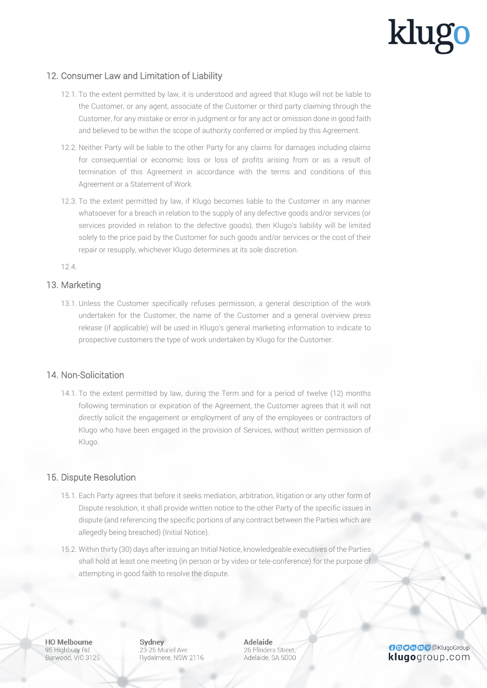#### 12. Consumer Law and Limitation of Liability

- 12.1. To the extent permitted by law, it is understood and agreed that Klugo will not be liable to the Customer, or any agent, associate of the Customer or third party claiming through the Customer, for any mistake or error in judgment or for any act or omission done in good faith and believed to be within the scope of authority conferred or implied by this Agreement.
- 12.2. Neither Party will be liable to the other Party for any claims for damages including claims for consequential or economic loss or loss of profits arising from or as a result of termination of this Agreement in accordance with the terms and conditions of this Agreement or a Statement of Work.
- 12.3. To the extent permitted by law, if Klugo becomes liable to the Customer in any manner whatsoever for a breach in relation to the supply of any defective goods and/or services (or services provided in relation to the defective goods), then Klugo's liability will be limited solely to the price paid by the Customer for such goods and/or services or the cost of their repair or resupply, whichever Klugo determines at its sole discretion.

12.4.

#### 13. Marketing

13.1. Unless the Customer specifically refuses permission, a general description of the work undertaken for the Customer, the name of the Customer and a general overview press release (if applicable) will be used in Klugo's general marketing information to indicate to prospective customers the type of work undertaken by Klugo for the Customer.

#### 14. Non-Solicitation

14.1. To the extent permitted by law, during the Term and for a period of twelve (12) months following termination or expiration of the Agreement, the Customer agrees that it will not directly solicit the engagement or employment of any of the employees or contractors of Klugo who have been engaged in the provision of Services, without written permission of Klugo.

#### 15. Dispute Resolution

- 15.1. Each Party agrees that before it seeks mediation, arbitration, litigation or any other form of Dispute resolution, it shall provide written notice to the other Party of the specific issues in dispute (and referencing the specific portions of any contract between the Parties which are allegedly being breached) (Initial Notice).
- 15.2. Within thirty (30) days after issuing an Initial Notice, knowledgeable executives of the Parties shall hold at least one meeting (in person or by video or tele-conference) for the purpose of attempting in good faith to resolve the dispute.

**HO Melbourne** 95 Highbury Rd Burwood, VIC 3125 Sydney 23-25 Muriel Ave Rydalmere, NSW 2116 **Adelaide** 26 Flinders Street. Adelaide, SA 5000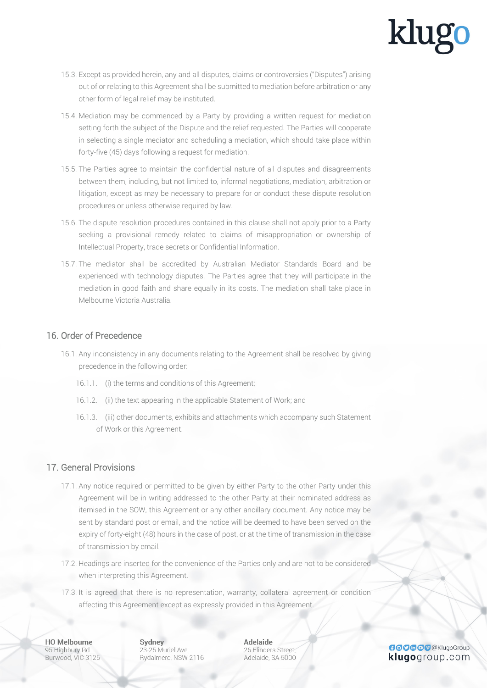- 15.3. Except as provided herein, any and all disputes, claims or controversies ("Disputes") arising out of or relating to this Agreement shall be submitted to mediation before arbitration or any other form of legal relief may be instituted.
- 15.4. Mediation may be commenced by a Party by providing a written request for mediation setting forth the subject of the Dispute and the relief requested. The Parties will cooperate in selecting a single mediator and scheduling a mediation, which should take place within forty-five (45) days following a request for mediation.
- 15.5. The Parties agree to maintain the confidential nature of all disputes and disagreements between them, including, but not limited to, informal negotiations, mediation, arbitration or litigation, except as may be necessary to prepare for or conduct these dispute resolution procedures or unless otherwise required by law.
- 15.6. The dispute resolution procedures contained in this clause shall not apply prior to a Party seeking a provisional remedy related to claims of misappropriation or ownership of Intellectual Property, trade secrets or Confidential Information.
- 15.7. The mediator shall be accredited by Australian Mediator Standards Board and be experienced with technology disputes. The Parties agree that they will participate in the mediation in good faith and share equally in its costs. The mediation shall take place in Melbourne Victoria Australia.

#### 16. Order of Precedence

- 16.1. Any inconsistency in any documents relating to the Agreement shall be resolved by giving precedence in the following order:
	- 16.1.1. (i) the terms and conditions of this Agreement;
	- 16.1.2. (ii) the text appearing in the applicable Statement of Work; and
	- 16.1.3. (iii) other documents, exhibits and attachments which accompany such Statement of Work or this Agreement.

#### 17. General Provisions

- 17.1. Any notice required or permitted to be given by either Party to the other Party under this Agreement will be in writing addressed to the other Party at their nominated address as itemised in the SOW, this Agreement or any other ancillary document. Any notice may be sent by standard post or email, and the notice will be deemed to have been served on the expiry of forty-eight (48) hours in the case of post, or at the time of transmission in the case of transmission by email.
- 17.2. Headings are inserted for the convenience of the Parties only and are not to be considered when interpreting this Agreement.
- 17.3. It is agreed that there is no representation, warranty, collateral agreement or condition affecting this Agreement except as expressly provided in this Agreement.

**HO Melbourne** 95 Highbury Rd Burwood, VIC 3125 Sydney 23-25 Muriel Ave Rydalmere, NSW 2116 **Adelaide** 26 Flinders Street: Adelaide, SA 5000